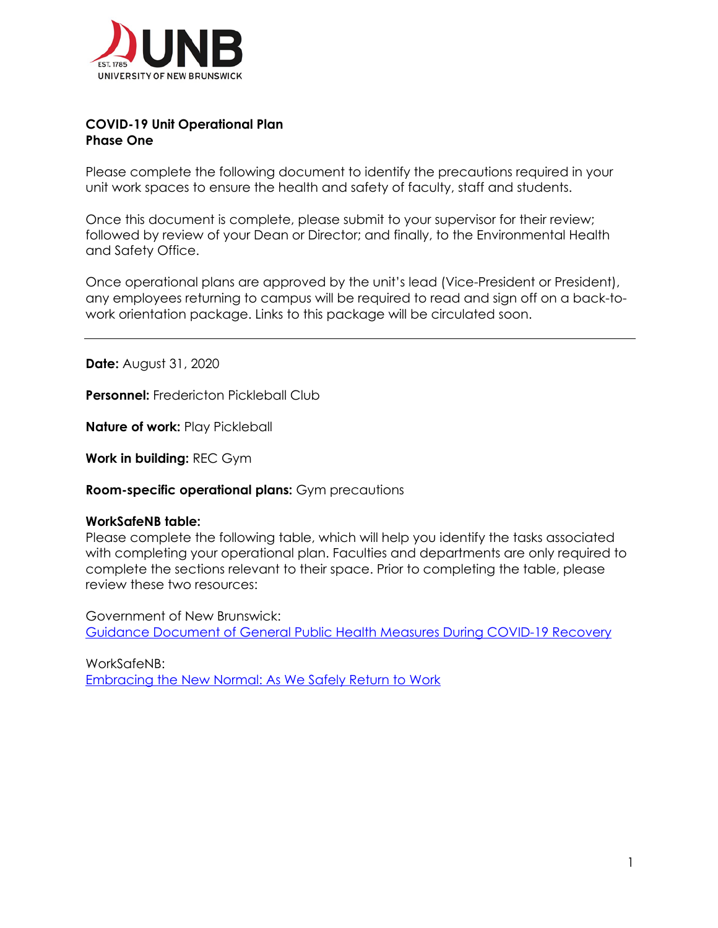

## **COVID-19 Unit Operational Plan Phase One**

Please complete the following document to identify the precautions required in your unit work spaces to ensure the health and safety of faculty, staff and students.

Once this document is complete, please submit to your supervisor for their review; followed by review of your Dean or Director; and finally, to the Environmental Health and Safety Office.

Once operational plans are approved by the unit's lead (Vice-President or President), any employees returning to campus will be required to read and sign off on a back-towork orientation package. Links to this package will be circulated soon.

**Date:** August 31, 2020

**Personnel:** Fredericton Pickleball Club

**Nature of work: Play Pickleball** 

**Work in building:** REC Gym

**Room-specific operational plans:** Gym precautions

## **WorkSafeNB table:**

Please complete the following table, which will help you identify the tasks associated with completing your operational plan. Faculties and departments are only required to complete the sections relevant to their space. Prior to completing the table, please review these two resources:

Government of New Brunswick: Guidance Document of General Public Health Measures During COVID-19 Recovery

WorkSafeNB: Embracing the New Normal: As We Safely Return to Work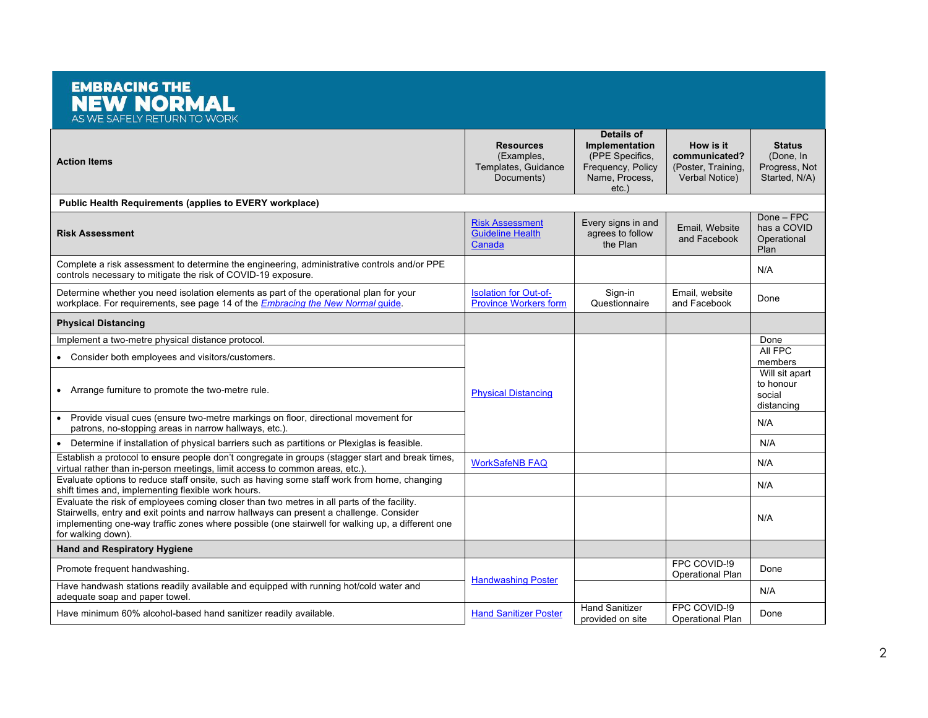## **EMBRACING THE NEW NORMAL** AS WE SAFELY RETURN TO WORK **Details of Resources Implementation How is it Status**  (Examples, (PPE Specifics, **communicated?**  (Done, In **Action Items** Templates, Guidance Frequency, Policy (Poster, Training, Progress, Not Documents) Name, Process, Verbal Notice) Started, N/A) etc.) **Public Health Requirements (applies to EVERY workplace)** Done – FPC Risk Assessment Every signs in and Email, Website has a COVID **Risk Assessment** Guideline Health agrees to follow and Facebook Operational **Canada** the Plan Plan Complete a risk assessment to determine the engineering, administrative controls and/or PPE complete a risk assessment to determine the engineering, administrative controls and/or PTE<br>controls necessary to mitigate the risk of COVID-19 exposure. Determine whether you need isolation elements as part of the operational plan for your Isolation for Out-of-Sign-in Email, website Effiall, website<br>and Facebook Done workplace. For requirements, see page 14 of the *Embracing the New Normal* guide. Province Workers form Questionnaire **Physical Distancing** Implement a two-metre physical distance protocol. Done<br>All FPC • Consider both employees and visitors/customers. members Will sit apart to honour • Arrange furniture to promote the two-metre rule. Physical Distancing social distancing • Provide visual cues (ensure two-metre markings on floor, directional movement for Provide visual cues (ensure wo-mede markings on noor, directional movement for<br>patrons, no-stopping areas in narrow hallways, etc.). • Determine if installation of physical barriers such as partitions or Plexiglas is feasible. N/A N/A Establish a protocol to ensure people don't congregate in groups (stagger start and break times, Establish a protocol to ensure people don't congregate in groups (stagger start and break times, NorkSafeNB FAQ<br>virtual rather than in-person meetings, limit access to common areas, etc.). Evaluate options to reduce staff onsite, such as having some staff work from home, changing shift times and, implementing flexible work hours.<br>Shift times and, implementing flexible work hours. Evaluate the risk of employees coming closer than two metres in all parts of the facility. Stairwells, entry and exit points and narrow hallways can present a challenge. Consider N/A implementing one-way traffic zones where possible (one stairwell for walking up, a different one for walking down). **Hand and Respiratory Hygiene** FPC COVID-!9 Promote frequent handwashing. Operational Plan Done **Handwashing Poster** Have handwash stations readily available and equipped with running hot/cold water and nave handwash stations readily available and equipped with furthing noticold water and<br>adequate soap and paper towel. N/A FPC COVID-!9 Have minimum 60% alcohol-based hand sanitizer readily available. Hand Sanitizer Poster Hand Sanitizer Poster Hand Sanitizer Poster Operational Plan Done provided on site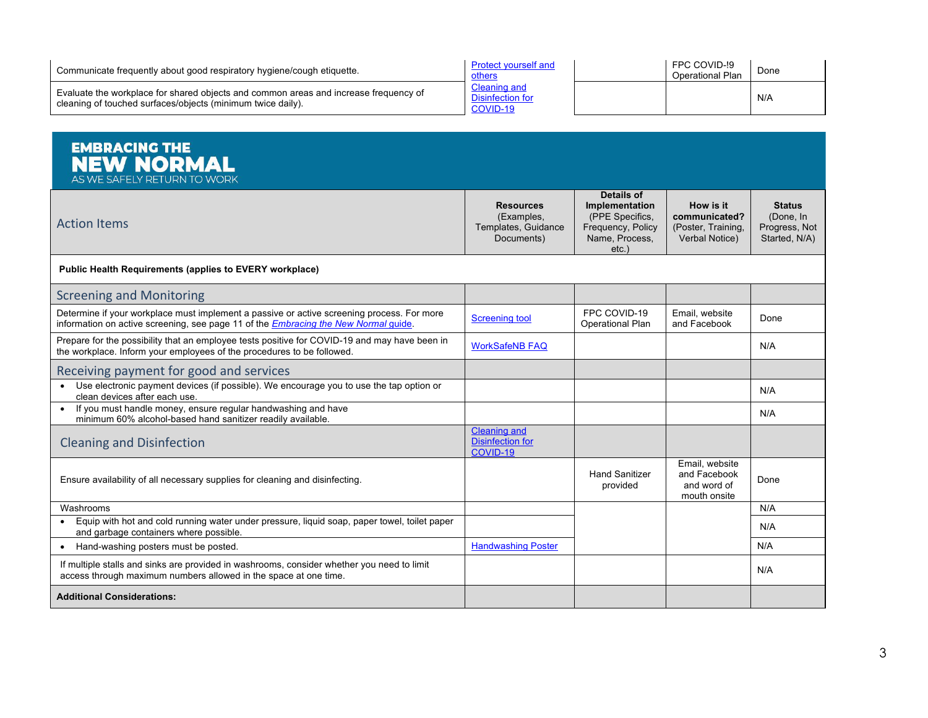| Communicate frequently about good respiratory hygiene/cough etiquette.                                                                              | <b>Protect vourself and</b><br>others        | FPC COVID-!9<br>Operational Plan | Done |
|-----------------------------------------------------------------------------------------------------------------------------------------------------|----------------------------------------------|----------------------------------|------|
| Evaluate the workplace for shared objects and common areas and increase frequency of<br>cleaning of touched surfaces/objects (minimum twice daily). | Cleaning and<br>Disinfection for<br>COVID-19 |                                  | N/A  |

| <b>EMBRACING THE</b><br><b>NEW NORMAL</b><br>AS WE SAFELY RETURN TO WORK                                                                                                                  |                                                                     |                                                                                                        |                                                                    |                                                              |
|-------------------------------------------------------------------------------------------------------------------------------------------------------------------------------------------|---------------------------------------------------------------------|--------------------------------------------------------------------------------------------------------|--------------------------------------------------------------------|--------------------------------------------------------------|
| <b>Action Items</b>                                                                                                                                                                       | <b>Resources</b><br>(Examples,<br>Templates, Guidance<br>Documents) | Details of<br><b>Implementation</b><br>(PPE Specifics,<br>Frequency, Policy<br>Name, Process,<br>etc.) | How is it<br>communicated?<br>(Poster, Training.<br>Verbal Notice) | <b>Status</b><br>(Done, In<br>Progress, Not<br>Started, N/A) |
| <b>Public Health Requirements (applies to EVERY workplace)</b>                                                                                                                            |                                                                     |                                                                                                        |                                                                    |                                                              |
| <b>Screening and Monitoring</b>                                                                                                                                                           |                                                                     |                                                                                                        |                                                                    |                                                              |
| Determine if your workplace must implement a passive or active screening process. For more<br>information on active screening, see page 11 of the <i>Embracing the New Normal guide</i> . | <b>Screening tool</b>                                               | FPC COVID-19<br>Operational Plan                                                                       | Email, website<br>and Facebook                                     | Done                                                         |
| Prepare for the possibility that an employee tests positive for COVID-19 and may have been in<br>the workplace. Inform your employees of the procedures to be followed.                   | <b>WorkSafeNB FAQ</b>                                               |                                                                                                        |                                                                    | N/A                                                          |
| Receiving payment for good and services                                                                                                                                                   |                                                                     |                                                                                                        |                                                                    |                                                              |
| Use electronic payment devices (if possible). We encourage you to use the tap option or<br>clean devices after each use.                                                                  |                                                                     |                                                                                                        |                                                                    | N/A                                                          |
| • If you must handle money, ensure regular handwashing and have<br>minimum 60% alcohol-based hand sanitizer readily available.                                                            |                                                                     |                                                                                                        |                                                                    | N/A                                                          |
| <b>Cleaning and Disinfection</b>                                                                                                                                                          | <b>Cleaning and</b><br><b>Disinfection for</b><br>COVID-19          |                                                                                                        |                                                                    |                                                              |
| Ensure availability of all necessary supplies for cleaning and disinfecting.                                                                                                              |                                                                     | <b>Hand Sanitizer</b><br>provided                                                                      | Email, website<br>and Facebook<br>and word of<br>mouth onsite      | Done                                                         |
| Washrooms                                                                                                                                                                                 |                                                                     |                                                                                                        |                                                                    | N/A                                                          |
| Equip with hot and cold running water under pressure, liquid soap, paper towel, toilet paper<br>and garbage containers where possible.                                                    |                                                                     |                                                                                                        |                                                                    | N/A                                                          |
| Hand-washing posters must be posted.                                                                                                                                                      | <b>Handwashing Poster</b>                                           |                                                                                                        |                                                                    | N/A                                                          |
| If multiple stalls and sinks are provided in washrooms, consider whether you need to limit<br>access through maximum numbers allowed in the space at one time.                            |                                                                     |                                                                                                        |                                                                    | N/A                                                          |
| <b>Additional Considerations:</b>                                                                                                                                                         |                                                                     |                                                                                                        |                                                                    |                                                              |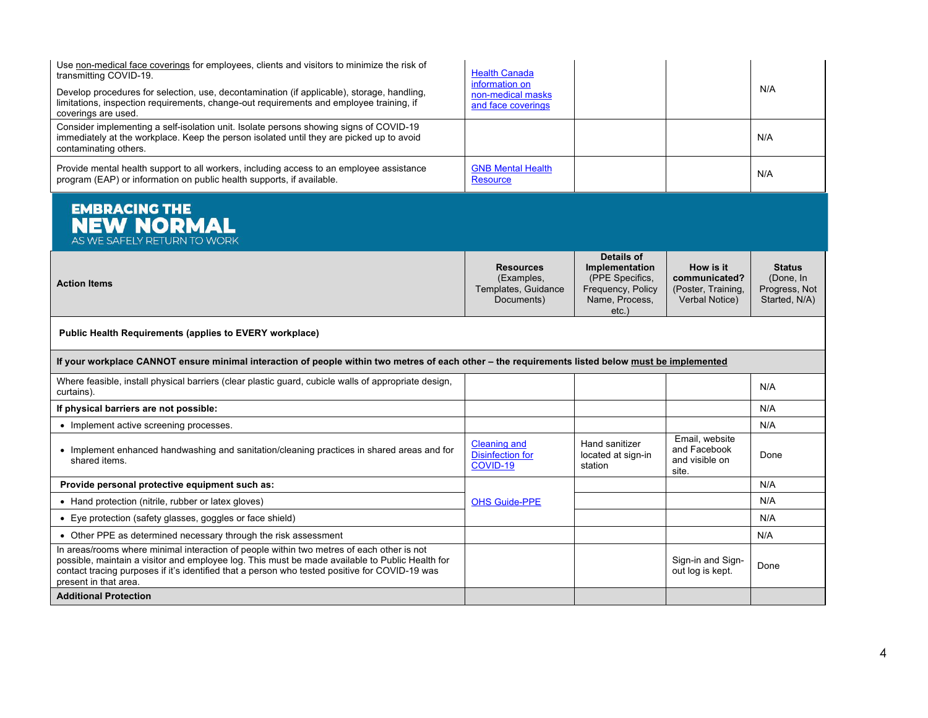| Use non-medical face coverings for employees, clients and visitors to minimize the risk of<br>transmitting COVID-19.<br>Develop procedures for selection, use, decontamination (if applicable), storage, handling,<br>limitations, inspection requirements, change-out requirements and employee training, if<br>coverings are used. | <b>Health Canada</b><br>information on<br>non-medical masks<br>and face coverings |                                                                                                       |                                                                    | N/A                                                          |
|--------------------------------------------------------------------------------------------------------------------------------------------------------------------------------------------------------------------------------------------------------------------------------------------------------------------------------------|-----------------------------------------------------------------------------------|-------------------------------------------------------------------------------------------------------|--------------------------------------------------------------------|--------------------------------------------------------------|
| Consider implementing a self-isolation unit. Isolate persons showing signs of COVID-19<br>immediately at the workplace. Keep the person isolated until they are picked up to avoid<br>contaminating others.                                                                                                                          |                                                                                   |                                                                                                       |                                                                    | N/A                                                          |
| Provide mental health support to all workers, including access to an employee assistance<br>program (EAP) or information on public health supports, if available.                                                                                                                                                                    | <b>GNB Mental Health</b><br><b>Resource</b>                                       |                                                                                                       |                                                                    | N/A                                                          |
| <b>EMBRACING THE</b><br><b>NEW NORMAL</b><br>AS WE SAFELY RETURN TO WORK                                                                                                                                                                                                                                                             |                                                                                   |                                                                                                       |                                                                    |                                                              |
| <b>Action Items</b>                                                                                                                                                                                                                                                                                                                  | <b>Resources</b><br>(Examples,<br>Templates, Guidance<br>Documents)               | Details of<br><b>Implementation</b><br>(PPE Specifics,<br>Frequency, Policy<br>Name, Process,<br>etc. | How is it<br>communicated?<br>(Poster, Training,<br>Verbal Notice) | <b>Status</b><br>(Done, In<br>Progress, Not<br>Started, N/A) |
| <b>Public Health Requirements (applies to EVERY workplace)</b>                                                                                                                                                                                                                                                                       |                                                                                   |                                                                                                       |                                                                    |                                                              |
| If your workplace CANNOT ensure minimal interaction of people within two metres of each other - the requirements listed below must be implemented                                                                                                                                                                                    |                                                                                   |                                                                                                       |                                                                    |                                                              |
| Where feasible, install physical barriers (clear plastic quard, cubicle walls of appropriate design,<br>curtains).                                                                                                                                                                                                                   |                                                                                   |                                                                                                       |                                                                    | N/A                                                          |
| If physical barriers are not possible:                                                                                                                                                                                                                                                                                               |                                                                                   |                                                                                                       |                                                                    | N/A                                                          |
| • Implement active screening processes.                                                                                                                                                                                                                                                                                              |                                                                                   |                                                                                                       |                                                                    | N/A                                                          |
| • Implement enhanced handwashing and sanitation/cleaning practices in shared areas and for<br>shared items.                                                                                                                                                                                                                          | <b>Cleaning and</b><br>Disinfection for<br>COVID-19                               | Hand sanitizer<br>located at sign-in<br>station                                                       | Email, website<br>and Facebook<br>and visible on<br>site.          | Done                                                         |
| Provide personal protective equipment such as:                                                                                                                                                                                                                                                                                       |                                                                                   |                                                                                                       |                                                                    | N/A                                                          |
| • Hand protection (nitrile, rubber or latex gloves)                                                                                                                                                                                                                                                                                  | <b>OHS Guide-PPE</b>                                                              |                                                                                                       |                                                                    | N/A                                                          |
| • Eye protection (safety glasses, goggles or face shield)                                                                                                                                                                                                                                                                            |                                                                                   |                                                                                                       |                                                                    | N/A                                                          |
| • Other PPE as determined necessary through the risk assessment                                                                                                                                                                                                                                                                      |                                                                                   |                                                                                                       |                                                                    | N/A                                                          |
| In areas/rooms where minimal interaction of people within two metres of each other is not<br>possible, maintain a visitor and employee log. This must be made available to Public Health for<br>contact tracing purposes if it's identified that a person who tested positive for COVID-19 was<br>present in that area.              |                                                                                   |                                                                                                       | Sign-in and Sign-<br>out log is kept.                              | Done                                                         |
| <b>Additional Protection</b>                                                                                                                                                                                                                                                                                                         |                                                                                   |                                                                                                       |                                                                    |                                                              |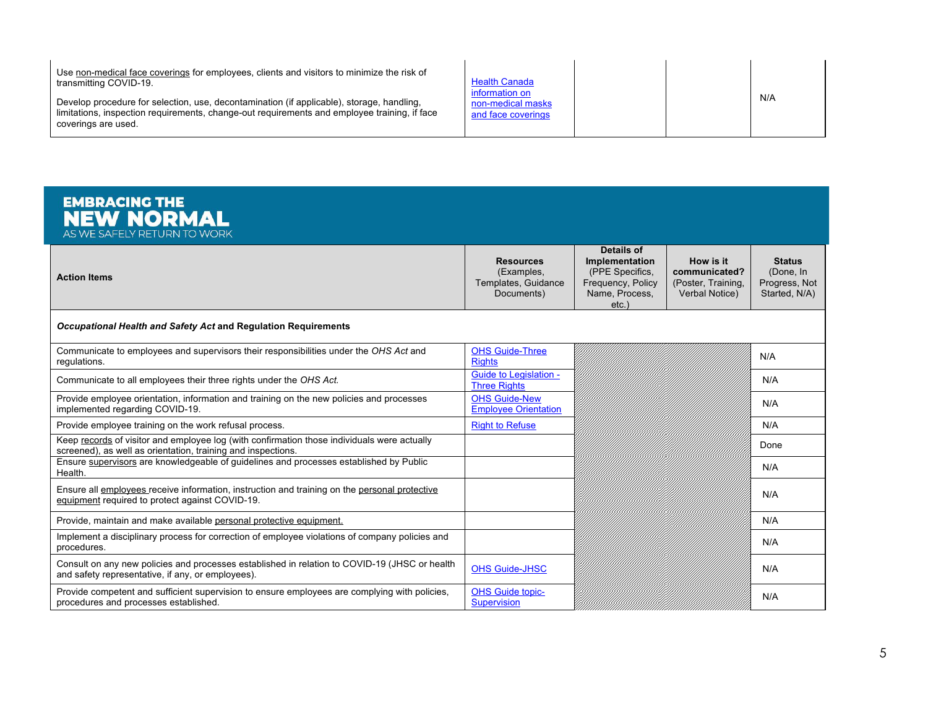Use non-medical face coverings for employees, clients and visitors to minimize the risk of transmitting COVID-19.

Develop procedure for selection, use, decontamination (if applicable), storage, handling, limitations, inspection requirements, change-out requirements and employee training, if face coverings are used.

| <b>Health Canada</b><br>information on<br>non-medical masks<br>and face coverings |  |  | N/A |
|-----------------------------------------------------------------------------------|--|--|-----|
|-----------------------------------------------------------------------------------|--|--|-----|

| <b>EMBRACING THE</b><br><b>NEW NORMAL</b><br>AS WE SAFELY RETURN TO WORK                                                                                    |                                                                     |                                                                                                    |                                                                    |                                                              |
|-------------------------------------------------------------------------------------------------------------------------------------------------------------|---------------------------------------------------------------------|----------------------------------------------------------------------------------------------------|--------------------------------------------------------------------|--------------------------------------------------------------|
| <b>Action Items</b>                                                                                                                                         | <b>Resources</b><br>(Examples,<br>Templates, Guidance<br>Documents) | Details of<br>Implementation<br>(PPE Specifics,<br>Frequency, Policy<br>Name, Process,<br>$etc.$ ) | How is it<br>communicated?<br>(Poster, Training,<br>Verbal Notice) | <b>Status</b><br>(Done, In<br>Progress, Not<br>Started, N/A) |
| Occupational Health and Safety Act and Regulation Requirements                                                                                              |                                                                     |                                                                                                    |                                                                    |                                                              |
| Communicate to employees and supervisors their responsibilities under the OHS Act and<br>regulations.                                                       | <b>OHS Guide-Three</b><br><b>Rights</b>                             |                                                                                                    |                                                                    | N/A                                                          |
| Communicate to all employees their three rights under the OHS Act.                                                                                          | <b>Guide to Legislation -</b><br><b>Three Rights</b>                |                                                                                                    |                                                                    | N/A                                                          |
| Provide employee orientation, information and training on the new policies and processes<br>implemented regarding COVID-19.                                 | <b>OHS Guide-New</b><br><b>Employee Orientation</b>                 |                                                                                                    |                                                                    | N/A                                                          |
| Provide employee training on the work refusal process.                                                                                                      | <b>Right to Refuse</b>                                              |                                                                                                    |                                                                    | N/A                                                          |
| Keep records of visitor and employee log (with confirmation those individuals were actually<br>screened), as well as orientation, training and inspections. |                                                                     |                                                                                                    |                                                                    | Done                                                         |
| Ensure supervisors are knowledgeable of guidelines and processes established by Public<br>Health.                                                           |                                                                     |                                                                                                    |                                                                    | N/A                                                          |
| Ensure all employees receive information, instruction and training on the personal protective<br>equipment required to protect against COVID-19.            |                                                                     |                                                                                                    |                                                                    | N/A                                                          |
| Provide, maintain and make available personal protective equipment.                                                                                         |                                                                     |                                                                                                    |                                                                    | N/A                                                          |
| Implement a disciplinary process for correction of employee violations of company policies and<br>procedures.                                               |                                                                     |                                                                                                    |                                                                    | N/A                                                          |
| Consult on any new policies and processes established in relation to COVID-19 (JHSC or health<br>and safety representative, if any, or employees).          | <b>OHS Guide-JHSC</b>                                               |                                                                                                    |                                                                    | N/A                                                          |
| Provide competent and sufficient supervision to ensure employees are complying with policies,<br>procedures and processes established.                      | <b>OHS Guide topic-</b><br><b>Supervision</b>                       |                                                                                                    |                                                                    | N/A                                                          |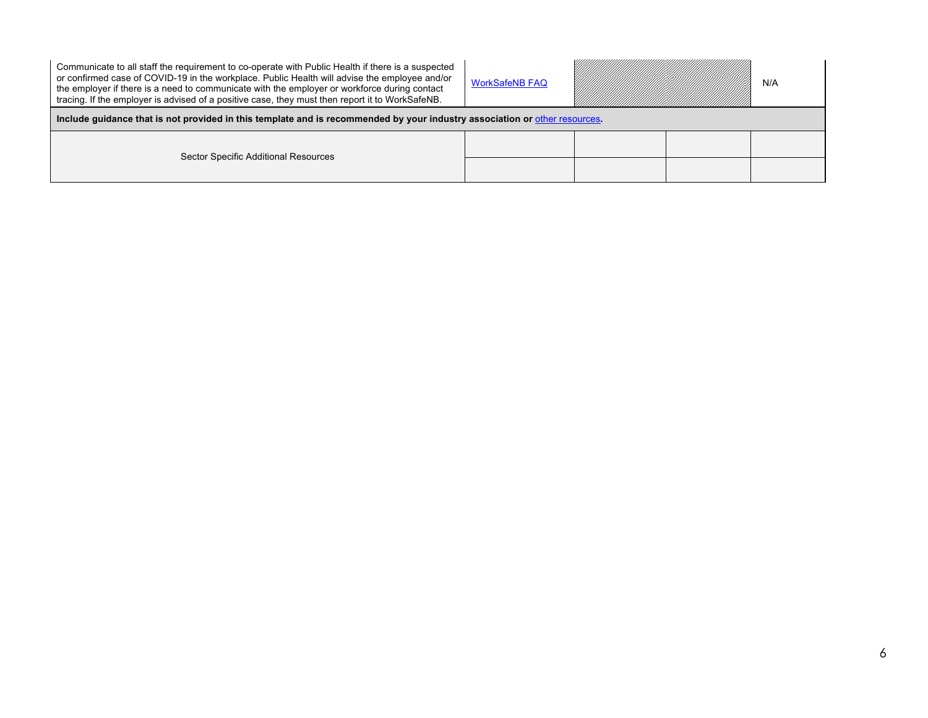| Communicate to all staff the requirement to co-operate with Public Health if there is a suspected<br>or confirmed case of COVID-19 in the workplace. Public Health will advise the employee and/or<br>the employer if there is a need to communicate with the employer or workforce during contact<br>tracing. If the employer is advised of a positive case, they must then report it to WorkSafeNB. | <b>WorkSafeNB FAQ</b> |  |  | N/A |  |
|-------------------------------------------------------------------------------------------------------------------------------------------------------------------------------------------------------------------------------------------------------------------------------------------------------------------------------------------------------------------------------------------------------|-----------------------|--|--|-----|--|
| Include guidance that is not provided in this template and is recommended by your industry association or other resources.                                                                                                                                                                                                                                                                            |                       |  |  |     |  |
|                                                                                                                                                                                                                                                                                                                                                                                                       |                       |  |  |     |  |
| Sector Specific Additional Resources                                                                                                                                                                                                                                                                                                                                                                  |                       |  |  |     |  |